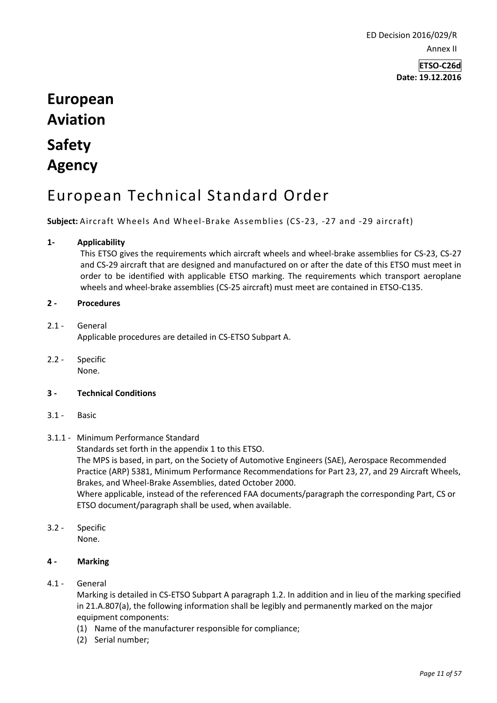ED Decision 2016/029/R Annex II

> **ETSO-C26d Date: 19.12.2016**

# **European Aviation Safety Agency**

# European Technical Standard Order

**Subject:** Aircraft Wheels And Wheel-Brake Assemblies (CS-23, -27 and -29 aircraft)

### **1- Applicability**

This ETSO gives the requirements which aircraft wheels and wheel-brake assemblies for CS-23, CS-27 and CS-29 aircraft that are designed and manufactured on or after the date of this ETSO must meet in order to be identified with applicable ETSO marking. The requirements which transport aeroplane wheels and wheel-brake assemblies (CS-25 aircraft) must meet are contained in ETSO-C135.

#### **2 - Procedures**

#### 2.1 - General Applicable procedures are detailed in CS-ETSO Subpart A.

2.2 - Specific None.

#### **3 - Technical Conditions**

3.1 - Basic

# 3.1.1 - Minimum Performance Standard

Standards set forth in the appendix 1 to this ETSO.

ETSO document/paragraph shall be used, when available.

The MPS is based, in part, on the Society of Automotive Engineers (SAE), Aerospace Recommended Practice (ARP) 5381, Minimum Performance Recommendations for Part 23, 27, and 29 Aircraft Wheels, Brakes, and Wheel-Brake Assemblies, dated October 2000. Where applicable, instead of the referenced FAA documents/paragraph the corresponding Part, CS or

3.2 - Specific None.

# **4 - Marking**

4.1 - General

Marking is detailed in CS-ETSO Subpart A paragraph 1.2. In addition and in lieu of the marking specified in 21.A.807(a), the following information shall be legibly and permanently marked on the major equipment components:

- (1) Name of the manufacturer responsible for compliance;
- (2) Serial number;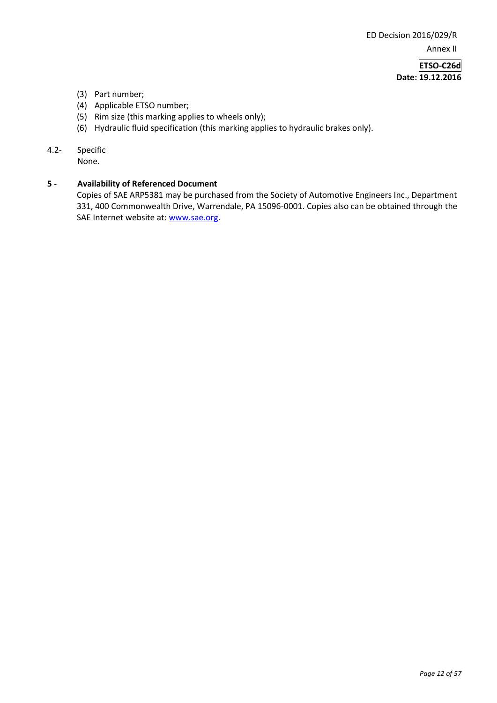ED Decision 2016/029/R Annex II

> **ETSO-C26d Date: 19.12.2016**

- (3) Part number;
- (4) Applicable ETSO number;
- (5) Rim size (this marking applies to wheels only);
- (6) Hydraulic fluid specification (this marking applies to hydraulic brakes only).
- 4.2- Specific

None.

#### **5 - Availability of Referenced Document**

Copies of SAE ARP5381 may be purchased from the Society of Automotive Engineers Inc., Department 331, 400 Commonwealth Drive, Warrendale, PA 15096-0001. Copies also can be obtained through the SAE Internet website at: [www.sae.org.](http://www.sae.org/)